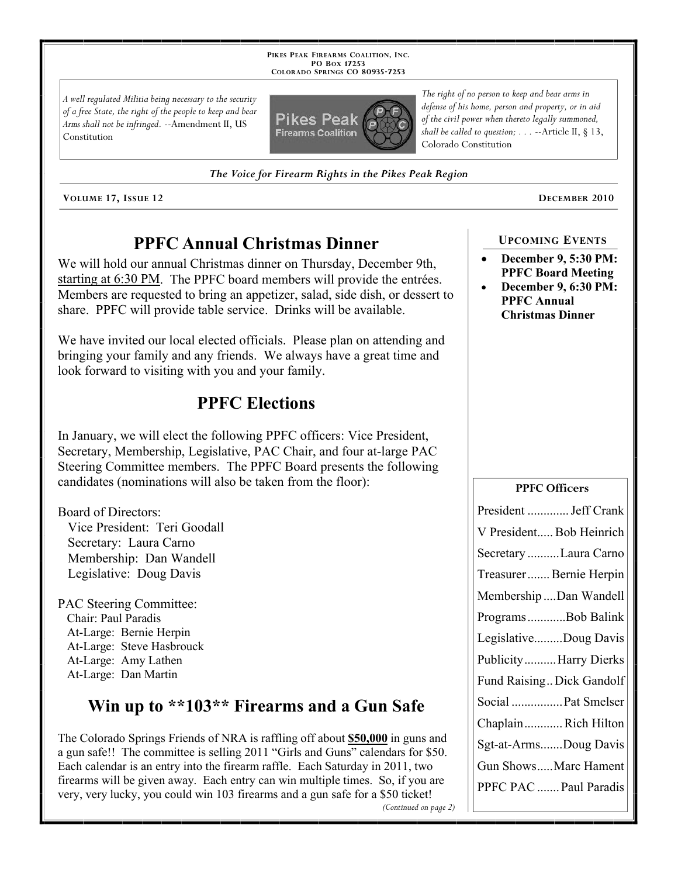**PIKES PEAK FIREARMS COALITION, INC. PO BOX 17253 COLORADO SPRINGS CO 80935 -7253**

*A well regulated Militia being necessary to the security of a free State, the right of the people to keep and bear Arms shall not be infringed.* --Amendment II, US Constitution



*The Voice for Firearm Rights in the Pikes Peak Region*

**VOLUME 17, ISSUE 12 DECEMBER 2010**

# **PPFC Annual Christmas Dinner**

We will hold our annual Christmas dinner on Thursday, December 9th, starting at 6:30 PM. The PPFC board members will provide the entrées. Members are requested to bring an appetizer, salad, side dish, or dessert to share. PPFC will provide table service. Drinks will be available.

We have invited our local elected officials. Please plan on attending and bringing your family and any friends. We always have a great time and look forward to visiting with you and your family.

# **PPFC Elections**

In January, we will elect the following PPFC officers: Vice President, Secretary, Membership, Legislative, PAC Chair, and four at-large PAC Steering Committee members. The PPFC Board presents the following candidates (nominations will also be taken from the floor):

Board of Directors:

 Vice President: Teri Goodall Secretary: Laura Carno Membership: Dan Wandell Legislative: Doug Davis

PAC Steering Committee: Chair: Paul Paradis At-Large: Bernie Herpin At-Large: Steve Hasbrouck At-Large: Amy Lathen At-Large: Dan Martin

# **Win up to \*\*103\*\* Firearms and a Gun Safe**

The Colorado Springs Friends of NRA is raffling off about **\$50,000** in guns and a gun safe!! The committee is selling 2011 "Girls and Guns" calendars for \$50. Each calendar is an entry into the firearm raffle. Each Saturday in 2011, two firearms will be given away. Each entry can win multiple times. So, if you are very, very lucky, you could win 103 firearms and a gun safe for a \$50 ticket! *(Continued on page 2)*

*The right of no person to keep and bear arms in defense of his home, person and property, or in aid of the civil power when thereto legally summoned, shall be called to question; . . .* --Article II, § 13, Colorado Constitution

## **UPCOMING EVENTS**

- **December 9, 5:30 PM: PPFC Board Meeting**
- **December 9, 6:30 PM: PPFC Annual Christmas Dinner**

### **PPFC Officers**

| President  Jeff Crank     |
|---------------------------|
| V President Bob Heinrich  |
| Secretary Laura Carno     |
| Treasurer  Bernie Herpin  |
| MembershipDan Wandell     |
| ProgramsBob Balink        |
| LegislativeDoug Davis     |
| Publicity Harry Dierks    |
| Fund Raising Dick Gandolf |
| Social  Pat Smelser       |
| ChaplainRich Hilton       |
| Sgt-at-ArmsDoug Davis     |
| Gun ShowsMarc Hament      |
| PPFC PAC  Paul Paradis    |
|                           |